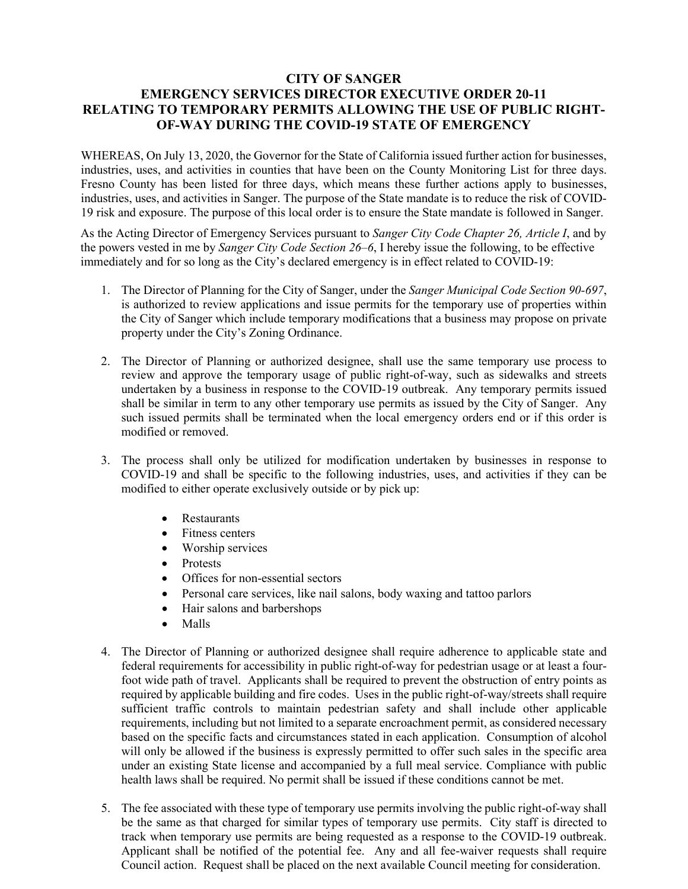## **CITY OF SANGER EMERGENCY SERVICES DIRECTOR EXECUTIVE ORDER 20-11 RELATING TO TEMPORARY PERMITS ALLOWING THE USE OF PUBLIC RIGHT-OF-WAY DURING THE COVID-19 STATE OF EMERGENCY**

WHEREAS, On July 13, 2020, the Governor for the State of California issued further action for businesses, industries, uses, and activities in counties that have been on the County Monitoring List for three days. Fresno County has been listed for three days, which means these further actions apply to businesses, industries, uses, and activities in Sanger. The purpose of the State mandate is to reduce the risk of COVID-19 risk and exposure. The purpose of this local order is to ensure the State mandate is followed in Sanger.

As the Acting Director of Emergency Services pursuant to *Sanger City Code Chapter 26, Article I*, and by the powers vested in me by *Sanger City Code Section 26–6*, I hereby issue the following, to be effective immediately and for so long as the City's declared emergency is in effect related to COVID-19:

- 1. The Director of Planning for the City of Sanger, under the *Sanger Municipal Code Section 90-697*, is authorized to review applications and issue permits for the temporary use of properties within the City of Sanger which include temporary modifications that a business may propose on private property under the City's Zoning Ordinance.
- 2. The Director of Planning or authorized designee, shall use the same temporary use process to review and approve the temporary usage of public right-of-way, such as sidewalks and streets undertaken by a business in response to the COVID-19 outbreak. Any temporary permits issued shall be similar in term to any other temporary use permits as issued by the City of Sanger. Any such issued permits shall be terminated when the local emergency orders end or if this order is modified or removed.
- 3. The process shall only be utilized for modification undertaken by businesses in response to COVID-19 and shall be specific to the following industries, uses, and activities if they can be modified to either operate exclusively outside or by pick up:
	- Restaurants
	- Fitness centers
	- Worship services
	- Protests
	- Offices for non-essential sectors
	- Personal care services, like nail salons, body waxing and tattoo parlors
	- Hair salons and barbershops
	- Malls
- 4. The Director of Planning or authorized designee shall require adherence to applicable state and federal requirements for accessibility in public right-of-way for pedestrian usage or at least a fourfoot wide path of travel. Applicants shall be required to prevent the obstruction of entry points as required by applicable building and fire codes. Uses in the public right-of-way/streets shall require sufficient traffic controls to maintain pedestrian safety and shall include other applicable requirements, including but not limited to a separate encroachment permit, as considered necessary based on the specific facts and circumstances stated in each application. Consumption of alcohol will only be allowed if the business is expressly permitted to offer such sales in the specific area under an existing State license and accompanied by a full meal service. Compliance with public health laws shall be required. No permit shall be issued if these conditions cannot be met.
- 5. The fee associated with these type of temporary use permits involving the public right-of-way shall be the same as that charged for similar types of temporary use permits. City staff is directed to track when temporary use permits are being requested as a response to the COVID-19 outbreak. Applicant shall be notified of the potential fee. Any and all fee-waiver requests shall require Council action. Request shall be placed on the next available Council meeting for consideration.